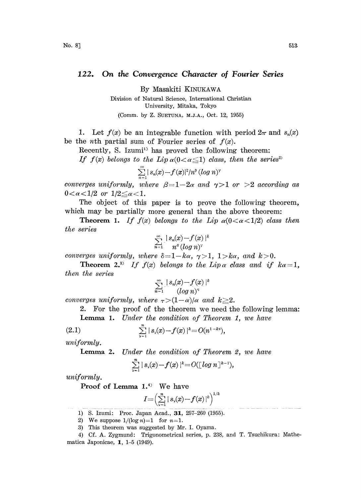## 122. On the Convergence Character of Fourier Series

By Masakiti KINUKAWA

Division of Natural Science, International Christian University, Mitaka, Tokyo (Comm. by Z. SUETUNA, M.J.A., Oct. 12, 1955)

1. Let  $f(x)$  be an integrable function with period  $2\pi$  and  $s_n(x)$ be the *n*th partial sum of Fourier series of  $f(x)$ .

Recently, S. Izumi<sup>11</sup> has proved the following theorem:

If  $f(x)$  belongs to the Lip  $\alpha(0<\alpha\leq 1)$  class, then the series<sup>2)</sup>

$$
\sum_{n=1}^{\infty} |s_n(x)-f(x)|^2/n^{\beta} (\log n)^{\gamma}
$$

converges uniformly, where  $\beta = 1-2\alpha$  and  $\gamma > 1$  or  $> 2$  according as  $0 < \alpha < 1/2$  or  $1/2 \leq \alpha < 1$ .

The object of this paper is to prove the following theorem, which may be partially more general than the above theorem:

**Theorem 1.** If  $f(x)$  belongs to the Lip  $\alpha(0 < \alpha < 1/2)$  class then the series

$$
\sum_{n=1}^{\infty} \frac{|s_n(x)-f(x)|^k}{n^s (\log n)^{\gamma}}
$$

converges uniformly, where  $\delta = 1 - k\alpha$ ,  $\gamma > 1$ ,  $1 > k\alpha$ , and  $k > 0$ .

**Theorem 2.**<sup>3</sup> If  $f(x)$  belongs to the Lip  $\alpha$  class and if  $k\alpha=1$ , then the series

$$
\sum_{n=1}^{\infty} \frac{\lfloor s_n(x) - f(x) \rfloor^k}{(\log n)^{\tau}}
$$

converges uniformly, where  $\tau > (1-\alpha)/\alpha$  and  $k \geq 2$ .

2. For the proof of the theorem we need the following lemma:

Lemma 1. Under the condition of Theorem 1, we have

(2.1) 
$$
\sum_{\nu=1}^n |s_{\nu}(x)-f(x)|^k = O(n^{1-k\alpha}),
$$

uniformly.

Lemma 2. Under the condition of Theorem 2, we have

$$
\sum_{\nu=1}^n |s_{\nu}(x)-f(x)|^k = O([log\ n]^{k-1}),
$$

uniformly.

Proof of Lemma 1.4) We have

$$
I = \left(\sum_{\nu=1}^n |s_{\nu}(x) - f(x)|^k\right)^{1/k}
$$

1) S. Izumi: Proc. Japan Acad., 31, 257-260 (1955).

2) We suppose  $1/(\log n)=1$  for  $n=1$ .

3) This theorem was suggested by Mr. I. Oyama.

<sup>4)</sup> Cf. A. Zygmund: Trigonometrical series, p. 238, and T. Tsuchikura: Mathematiea Japonieae, 1, 1-5 (1949).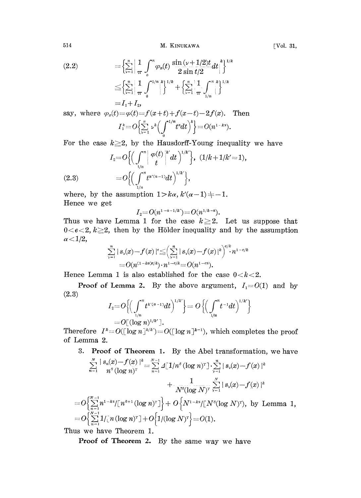514 M. KINUKAWA [Vol. 31,

$$
(2.2) \qquad \qquad = \left\{ \sum_{\nu=1}^{n} \left| \frac{1}{\pi} \int_{0}^{\pi} \varphi_{x}(t) \frac{\sin{(\nu+1/2)t}}{2 \sin{t/2}} dt \right|^{k} \right\}^{1/k} \\ \qquad \leq \left\{ \sum_{\nu=1}^{n} \left| \frac{1}{\pi} \int_{0}^{1/n} \left| \frac{\xi}{\xi} \right|^{1/k} + \left\{ \sum_{\nu=1}^{n} \left| \frac{1}{\pi} \int_{1/n}^{\pi} \frac{\xi}{\xi} \right|^{1/k} \right|^{1/k} \right\}^{1/k} \\ = I_{1} + I_{2},
$$

say, where  $\varphi_x(t) = \varphi(t) = f(x+t) + f(x-t) - 2f(x)$ . Then  $I_1^k = O\left(\sum_{\nu=1}^n \nu^k \left(\int_{0}^{1/n} t^a dt\right)^k\right) = O(n^{1-k^2}).$ 

For the case  $k \geq 2$ , by the Hausdorff-Young inequality we have

(2.3) 
$$
I_2 = O\left\{ \left( \int_{1/n}^{\pi} \left| \frac{\varphi(t)}{t} \right|^{k'} dt \right)^{1/k'} \right\}, (1/k + 1/k' = 1),
$$

$$
= O\left\{ \left( \int_{1/n}^{\pi} t^{k'(\alpha - 1)} dt \right)^{1/k'} \right\},
$$

where, by the assumption  $1 > k\alpha$ ,  $k'(\alpha - 1) \neq -1$ . Hence we get

$$
I_2 = O(n^{1-a-1/k}) = O(n^{1/k-a}).
$$

where, by the assumption  $1 > k\alpha$ ,  $k'(\alpha - 1) \neq -1$ .<br>
Hence we get<br>  $I_2 = O(n^{1-\alpha-1/k}) = O(n^{1/k-\alpha})$ .<br>
Thus we have Lemma 1 for the case  $k \geq 2$ . Let us suppose that  $0 < e < 2$ ,  $k \geq 2$ , then by the Hölder inequality and by the assumption  $\alpha$  < 1/2,

$$
\sum_{\nu=1}^n |s_{\nu}(x)-f(x)|^e \leq \left(\sum_{\nu=1}^n |s_{\nu}(x)-f(x)|^k\right)^{e/k} n^{1-e/k} = O(n^{(1-k\alpha)e/k}) \cdot n^{1-e/k} = O(n^{1-e\alpha}).
$$

Hence Lemma 1 is also established for the case  $0 < k < 2$ .

**Proof of Lemma 2.** By the above argument,  $I_1 = O(1)$  and by  $(2.3)$ 

$$
I_2 = O\left\{ \left( \int_{1/n}^{\pi} t^{k^*(\alpha-1)} dt \right)^{1/k^*} \right\} = O\left\{ \left( \int_{1/n}^{\pi} t^{-1} dt \right)^{1/k^*} \right\}
$$
  
=  $O\left[ (\log n)^{1/k^*} \right].$ 

Therefore  $I^* = O(\log n)^{k/k} = O(\log n)^{k-1}$ , which completes the proof of Lemma 2.

3. Proof of Theorem 1. By the Abel transformation, we have

$$
\sum_{n=1}^N \frac{|s_n(x)-f(x)|^k}{n^s(\log n)^r} = \sum_{n=1}^{N-1} \angle[1/n^s(\log n)^r] \cdot \sum_{\nu=1}^n |s_\nu(x)-f(x)|^k + \frac{1}{N^s(\log N)^r} \sum_{\nu=1}^N |s_\nu(x)-f(x)|^k
$$
  
=  $O\left\{\sum_{n=1}^{N-1} n^{1-ks}/[n^{s+1}(\log n)^r]\right\} + O\left\{N^{1-ks}/[N^s(\log N)^r), \text{ by Lemma 1,}$   
=  $O\left\{\sum_{n=1}^{N-1} 1/[n(\log n)^r] + O\left\{1/(\log N)^r\right\} = O(1).$ 

Thus we have Theorem 1.

Proof of Theorem 2. By the same way we have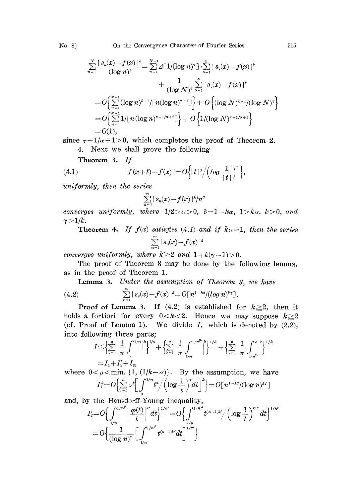$$
\sum_{n=1}^{N} \frac{|s_n(x)-f(x)|^k}{(\log n)^{\tau}} = \sum_{n=1}^{N-1} \Delta[1/(\log n)^{\tau}] \cdot \sum_{\nu=1}^{n} |s_{\nu}(x)-f(x)|^k
$$
  
+ 
$$
\frac{1}{(\log N)^{\tau}} \sum_{\nu=1}^{N} |s_{\nu}(x)-f(x)|^k
$$
  
=  $O\Biggl\{\sum_{n=1}^{N-1} (\log n)^{k-1} / [\,n (\log n)^{\tau+1} \,]\Biggr\} + O\Biggl\{ (\log N)^{k-1} / (\log N)^{\tau} \Biggr\}$   
=  $O\Biggl\{\sum_{n=1}^{N-1} 1 / [\,n (\log n)^{\tau-1/a+2} \,]\Biggr\} + O\Biggl\{1/(\log N)^{\tau-1/a+1}\Biggr\}$   
=  $O(1),$ 

since  $\tau - 1/\alpha + 1 > 0$ , which completes the proof of Theorem 2. 4. Next we shall prove the following

4. Next we shall prove the 
$$
1010
$$
.  
Theorem 3. If

(4.1) 
$$
|f(x+t)-f(x)|=O\Big\{|t|^s/\Big(log\frac{1}{|t|}\Big)^r\Big\},\,
$$

uniformly, then the series

$$
\sum_{n=1}^{\infty} |s_n(x) - f(x)|^k/n^s
$$

converges uniformly, where  $1/2 > \alpha > 0$ , erges uniformly, where  $1/2 > \alpha > 0$ ,  $\delta = 1 - k\alpha$ ,  $1 > k\alpha$ ,  $k > 0$ , and  $|k$ .<br>Theorem 4. If  $f(x)$  satisfies  $(4.1)$  and if  $k\alpha = 1$ , then the series  $\gamma>1/k$ .

 $\sum_{n=1}^{\infty} |s_n(x)-f(x)|^k$ 

converges uniformly, where  $k \geq 2$  and  $1 + k(\gamma - 1) > 0$ .

The proof of Theorem 3 may be done by the following lemma, as in he proof of Theorem 1.

Lemma 3. Under the assumption of Theorem 3, we have

(4.2) 
$$
\sum_{\nu=1}^n |s_{\nu}(x)-f(x)|^k = O[n^{1-k\alpha}/(\log n)^{k\tau}].
$$

**Proof of Lemma 3.** If  $(4.2)$  is established for  $k \ge 2$ , then it holds a fortiori for every  $0 < k < 2$ . Hence we may suppose  $k \geq 2$ (cf. Proof of Lemma 1). We divide  $I$ , which is denoted by  $(2.2)$ , into following three parts;

$$
I \leq \left\{ \sum_{\nu=1}^n \left| \frac{1}{\pi} \int_0^{1/n} \int_0^k \right|^{1/k} + \left\{ \sum_{\nu=1}^n \left| \frac{1}{\pi} \int_{1/n}^{1/n^{\mu}} \right|^k \right\}^{1/k} + \left\{ \sum_{\nu=1}^n \left| \frac{1}{\pi} \int_{1/n^{\mu}}^{\pi} \int_0^{1/k} \right|^{1/k} \right\}
$$
  
=  $I_1 + I_2 + I_3$ ,

where  $0 < \mu < \min$ . [1, (1/k- $\alpha$ )]. By the assumption, we have

$$
I_1^k = O\left\{\sum_{\nu=1}^k \nu^k \left[ \int_0^{t} t^a / \left( \log \frac{1}{t} \right) dt \right] \right\} = O\left[ n^{1-k^2} / (\log n)^{kr} \right]
$$

and, by the Hausdorff-Young inequality,

$$
\begin{array}{l} I_2' {=} O\Big\{ \int\limits_{1/n}^{1/n^{\mu}} \Big|\dfrac{\varphi(t)}{t}\Big|^{k'} dt\Big\}^{1/k'} {=} O\Big\{ \int\limits_{1/n}^{1/n^{\mu}} t^{(\alpha-1)k'}/\Big( \log \dfrac{1}{t} \Big)^{k'\gamma} dt\Big\}^{1/k'} \\ {=} O\Big\{ \dfrac{1}{(\log n)^\gamma} \Big[ \int\limits_{1/n}^{1/n^{\mu}} t^{(\alpha-1)k'} dt \Big]^{1/k'} \Big\} \end{array}
$$